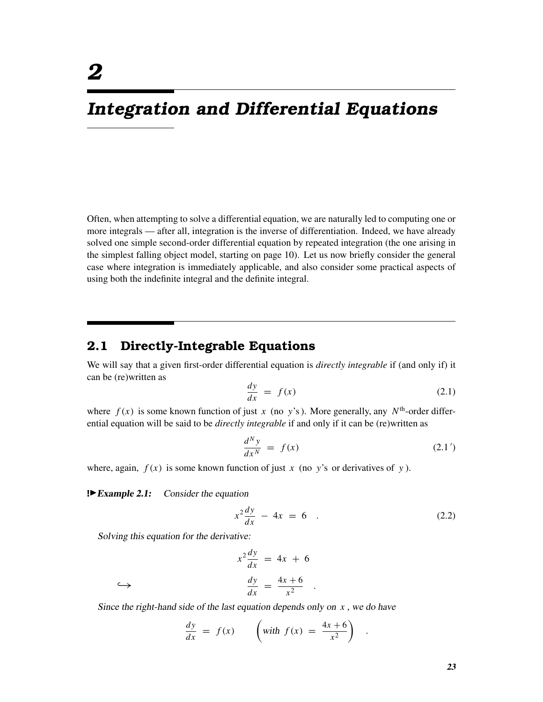# **Integration and Differential Equations**

Often, when attempting to solve a differential equation, we are naturally led to computing one or more integrals — after all, integration is the inverse of differentiation. Indeed, we have already solved one simple second-order differential equation by repeated integration (the one arising in the simplest falling object model, starting on page 10). Let us now briefly consider the general case where integration is immediately applicable, and also consider some practical aspects of using both the indefinite integral and the definite integral.

## **2.1 Directly-Integrable Equations**

We will say that a given first-order differential equation is *directly integrable* if (and only if) it can be (re)written as

$$
\frac{dy}{dx} = f(x) \tag{2.1}
$$

where  $f(x)$  is some known function of just x (no y's). More generally, any  $N<sup>th</sup>$ -order differential equation will be said to be *directly integrable* if and only if it can be (re)written as

$$
\frac{d^N y}{dx^N} = f(x) \tag{2.1'}
$$

where, again,  $f(x)$  is some known function of just *x* (no *y*'s or derivatives of *y*).

**!►**Example 2.1: Consider the equation

$$
x^2 \frac{dy}{dx} - 4x = 6 \t . \t (2.2)
$$

.

Solving this equation for the derivative:

$$
x^{2} \frac{dy}{dx} = 4x + 6
$$
  

$$
\frac{dy}{dx} = \frac{4x + 6}{x^{2}}
$$

Since the right-hand side of the last equation depends only on *x* , we do have

$$
\frac{dy}{dx} = f(x) \qquad \left(\text{with } f(x) = \frac{4x+6}{x^2}\right) \quad .
$$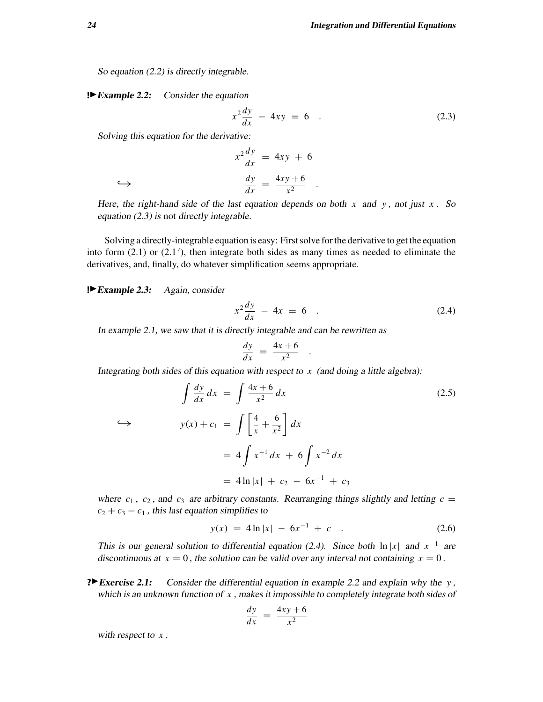So equation (2.2) is directly integrable.

**!►**Example 2.2: Consider the equation

$$
x^2 \frac{dy}{dx} - 4xy = 6 \quad . \tag{2.3}
$$

.

Solving this equation for the derivative:

$$
x^{2} \frac{dy}{dx} = 4xy + 6
$$
  

$$
\frac{dy}{dx} = \frac{4xy + 6}{x^{2}}
$$

Here, the right-hand side of the last equation depends on both  $x$  and  $y$ , not just  $x$ . So equation (2.3) is not directly integrable.

Solving a directly-integrable equation is easy: First solve for the derivative to get the equation into form (2.1) or (2.1 ′ ), then integrate both sides as many times as needed to eliminate the derivatives, and, finally, do whatever simplification seems appropriate.

**!► Example 2.3:** Again, consider

$$
x^2 \frac{dy}{dx} - 4x = 6 \t . \t (2.4)
$$

In example 2.1, we saw that it is directly integrable and can be rewritten as

$$
\frac{dy}{dx} = \frac{4x+6}{x^2}
$$

Integrating both sides of this equation with respect to  $x$  (and doing a little algebra):

$$
\int \frac{dy}{dx} dx = \int \frac{4x+6}{x^2} dx
$$
\n
$$
\Rightarrow \qquad y(x) + c_1 = \int \left[ \frac{4}{x} + \frac{6}{x^2} \right] dx
$$
\n
$$
= 4 \int x^{-1} dx + 6 \int x^{-2} dx
$$
\n
$$
= 4 \ln|x| + c_2 - 6x^{-1} + c_3
$$
\n(2.5)

.

where  $c_1$ ,  $c_2$ , and  $c_3$  are arbitrary constants. Rearranging things slightly and letting  $c =$  $c_2 + c_3 - c_1$ , this last equation simplifies to

$$
y(x) = 4\ln|x| - 6x^{-1} + c \quad . \tag{2.6}
$$

This is our general solution to differential equation (2.4). Since both  $\ln |x|$  and  $x^{-1}$  are discontinuous at  $x = 0$ , the solution can be valid over any interval not containing  $x = 0$ .

**?**◮Exercise 2.1: Consider the differential equation in example 2.2 and explain why the *y* , which is an unknown function of *x* , makes it impossible to completely integrate both sides of

$$
\frac{dy}{dx} = \frac{4xy + 6}{x^2}
$$

with respect to *x* .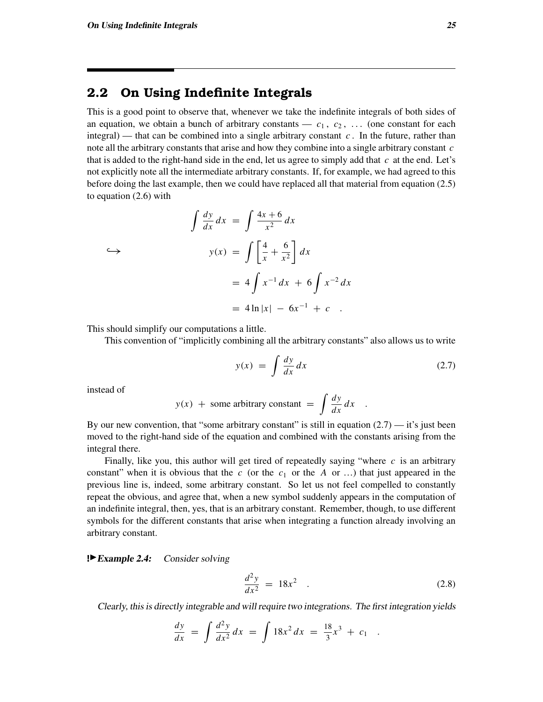## **2.2 On Using Indefinite Integrals**

This is a good point to observe that, whenever we take the indefinite integrals of both sides of an equation, we obtain a bunch of arbitrary constants —  $c_1, c_2, \ldots$  (one constant for each integral) — that can be combined into a single arbitrary constant  $c$ . In the future, rather than note all the arbitrary constants that arise and how they combine into a single arbitrary constant *c* that is added to the right-hand side in the end, let us agree to simply add that *c* at the end. Let's not explicitly note all the intermediate arbitrary constants. If, for example, we had agreed to this before doing the last example, then we could have replaced all that material from equation (2.5) to equation (2.6) with

$$
\int \frac{dy}{dx} dx = \int \frac{4x+6}{x^2} dx
$$
  
\n
$$
y(x) = \int \left[ \frac{4}{x} + \frac{6}{x^2} \right] dx
$$
  
\n
$$
= 4 \int x^{-1} dx + 6 \int x^{-2} dx
$$
  
\n
$$
= 4 \ln|x| - 6x^{-1} + c
$$

This should simplify our computations a little.

This convention of "implicitly combining all the arbitrary constants" also allows us to write

$$
y(x) = \int \frac{dy}{dx} dx
$$
 (2.7)

instead of

$$
y(x)
$$
 + some arbitrary constant =  $\int \frac{dy}{dx} dx$ .

By our new convention, that "some arbitrary constant" is still in equation  $(2.7)$  — it's just been moved to the right-hand side of the equation and combined with the constants arising from the integral there.

Finally, like you, this author will get tired of repeatedly saying "where  $c$  is an arbitrary constant" when it is obvious that the  $c$  (or the  $c<sub>1</sub>$  or the A or ...) that just appeared in the previous line is, indeed, some arbitrary constant. So let us not feel compelled to constantly repeat the obvious, and agree that, when a new symbol suddenly appears in the computation of an indefinite integral, then, yes, that is an arbitrary constant. Remember, though, to use different symbols for the different constants that arise when integrating a function already involving an arbitrary constant.

**!► Example 2.4:** Consider solving

$$
\frac{d^2y}{dx^2} = 18x^2 \quad . \tag{2.8}
$$

Clearly, this is directly integrable and will require two integrations. The first integration yields

$$
\frac{dy}{dx} = \int \frac{d^2y}{dx^2} dx = \int 18x^2 dx = \frac{18}{3}x^3 + c_1.
$$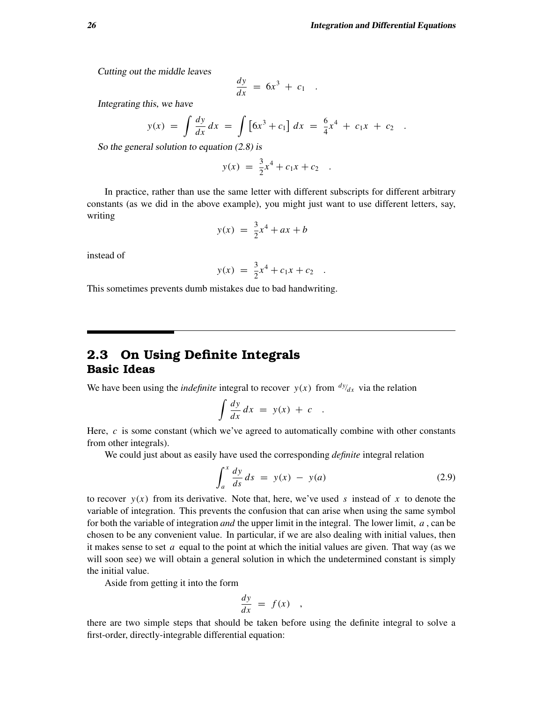Cutting out the middle leaves

$$
\frac{dy}{dx} = 6x^3 + c_1.
$$

Integrating this, we have

$$
y(x) = \int \frac{dy}{dx} dx = \int [6x^3 + c_1] dx = \frac{6}{4}x^4 + c_1x + c_2.
$$

So the general solution to equation (2.8) is

$$
y(x) = \frac{3}{2}x^4 + c_1x + c_2.
$$

In practice, rather than use the same letter with different subscripts for different arbitrary constants (as we did in the above example), you might just want to use different letters, say, writing

$$
y(x) = \frac{3}{2}x^4 + ax + b
$$

instead of

$$
y(x) = \frac{3}{2}x^4 + c_1x + c_2.
$$

This sometimes prevents dumb mistakes due to bad handwriting.

## **2.3 On Using Definite Integrals Basic Ideas**

We have been using the *indefinite* integral to recover  $y(x)$  from  $\frac{dy}{dx}$  via the relation

$$
\int \frac{dy}{dx} dx = y(x) + c .
$$

Here,  $c$  is some constant (which we've agreed to automatically combine with other constants from other integrals).

We could just about as easily have used the corresponding *definite* integral relation

$$
\int_{a}^{x} \frac{dy}{ds} ds = y(x) - y(a) \tag{2.9}
$$

to recover  $y(x)$  from its derivative. Note that, here, we've used *s* instead of *x* to denote the variable of integration. This prevents the confusion that can arise when using the same symbol for both the variable of integration *and* the upper limit in the integral. The lower limit, *a* , can be chosen to be any convenient value. In particular, if we are also dealing with initial values, then it makes sense to set *a* equal to the point at which the initial values are given. That way (as we will soon see) we will obtain a general solution in which the undetermined constant is simply the initial value.

Aside from getting it into the form

$$
\frac{dy}{dx} = f(x) \quad ,
$$

there are two simple steps that should be taken before using the definite integral to solve a first-order, directly-integrable differential equation: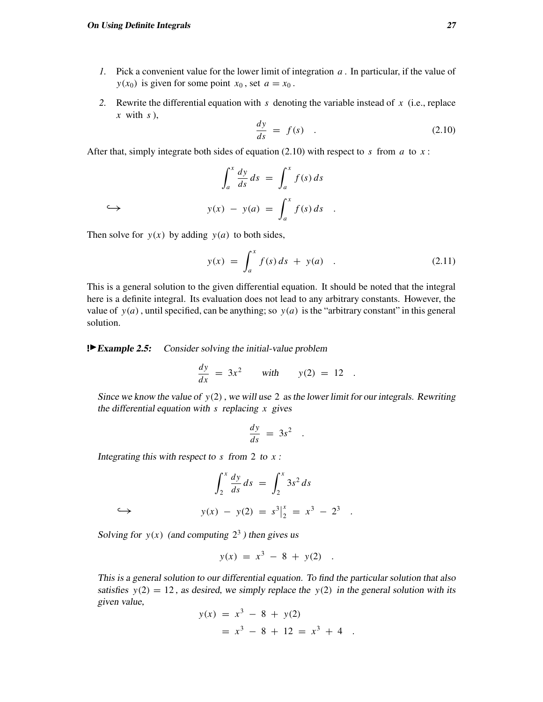- *1.* Pick a convenient value for the lower limit of integration *a* . In particular, if the value of  $y(x_0)$  is given for some point  $x_0$ , set  $a = x_0$ .
- *2.* Rewrite the differential equation with *s* denoting the variable instead of *x* (i.e., replace *x* with *s* ),

$$
\frac{dy}{ds} = f(s) \quad . \tag{2.10}
$$

After that, simply integrate both sides of equation (2.10) with respect to *s* from *a* to *x* :

$$
\int_{a}^{x} \frac{dy}{ds} ds = \int_{a}^{x} f(s) ds
$$
  

$$
y(x) - y(a) = \int_{a}^{x} f(s) ds .
$$

Then solve for  $y(x)$  by adding  $y(a)$  to both sides,

$$
y(x) = \int_{a}^{x} f(s) ds + y(a) \quad . \tag{2.11}
$$

This is a general solution to the given differential equation. It should be noted that the integral here is a definite integral. Its evaluation does not lead to any arbitrary constants. However, the value of  $y(a)$ , until specified, can be anything; so  $y(a)$  is the "arbitrary constant" in this general solution.

#### **!** $\blacktriangleright$  **Example 2.5:** Consider solving the initial-value problem

$$
\frac{dy}{dx} = 3x^2 \qquad \text{with} \qquad y(2) = 12 \quad .
$$

Since we know the value of  $y(2)$ , we will use 2 as the lower limit for our integrals. Rewriting the differential equation with *s* replacing *x* gives

$$
\frac{dy}{ds} = 3s^2
$$

.

Integrating this with respect to *s* from 2 to *x* :

$$
\int_{2}^{x} \frac{dy}{ds} ds = \int_{2}^{x} 3s^{2} ds
$$
  

$$
y(x) - y(2) = s^{3} \Big|_{2}^{x} = x^{3} - 2^{3}
$$

Solving for  $y(x)$  (and computing  $2<sup>3</sup>$ ) then gives us

$$
y(x) = x^3 - 8 + y(2) .
$$

This is <sup>a</sup> general solution to our differential equation. To find the particular solution that also satisfies  $y(2) = 12$ , as desired, we simply replace the  $y(2)$  in the general solution with its given value,

$$
y(x) = x3 - 8 + y(2)
$$
  
=  $x3 - 8 + 12 = x3 + 4$ .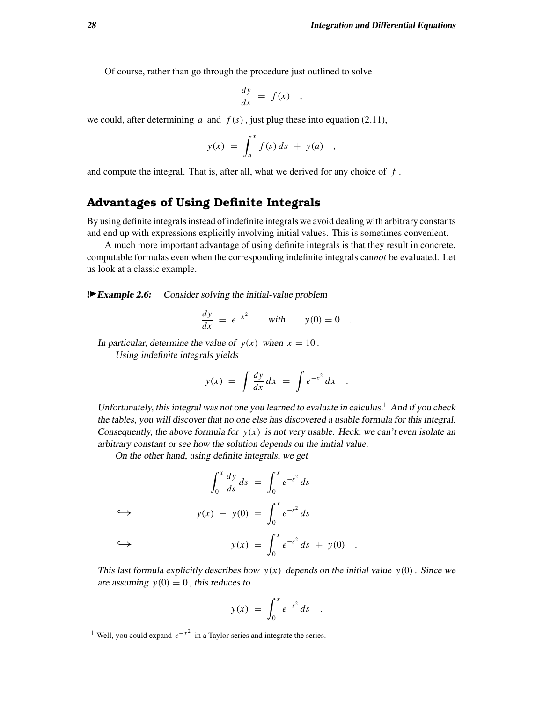Of course, rather than go through the procedure just outlined to solve

$$
\frac{dy}{dx} = f(x) \quad ,
$$

we could, after determining *a* and  $f(s)$ , just plug these into equation (2.11),

$$
y(x) = \int_a^x f(s) ds + y(a) ,
$$

and compute the integral. That is, after all, what we derived for any choice of *f* .

## **Advantages of Using Definite Integrals**

By using definite integrals instead of indefinite integrals we avoid dealing with arbitrary constants and end up with expressions explicitly involving initial values. This is sometimes convenient.

A much more important advantage of using definite integrals is that they result in concrete, computable formulas even when the corresponding indefinite integrals can*not* be evaluated. Let us look at a classic example.

**!► Example 2.6:** Consider solving the initial-value problem

$$
\frac{dy}{dx} = e^{-x^2} \qquad \text{with} \qquad y(0) = 0 \quad .
$$

In particular, determine the value of  $y(x)$  when  $x = 10$ .

Using indefinite integrals yields

$$
y(x) = \int \frac{dy}{dx} dx = \int e^{-x^2} dx .
$$

Unfortunately, this integral was not one you learned to evaluate in calculus.<sup>1</sup> And if you check the tables, you will discover that no one else has discovered <sup>a</sup> usable formula for this integral. Consequently, the above formula for  $y(x)$  is not very usable. Heck, we can't even isolate an arbitrary constant or see how the solution depends on the initial value.

On the other hand, using definite integrals, we get

$$
\int_0^x \frac{dy}{ds} ds = \int_0^x e^{-s^2} ds
$$
  
\n
$$
y(x) - y(0) = \int_0^x e^{-s^2} ds
$$
  
\n
$$
y(x) = \int_0^x e^{-s^2} ds + y(0) .
$$

This last formula explicitly describes how  $y(x)$  depends on the initial value  $y(0)$ . Since we are assuming  $y(0) = 0$ , this reduces to

$$
y(x) = \int_0^x e^{-s^2} ds .
$$

<sup>&</sup>lt;sup>1</sup> Well, you could expand  $e^{-x^2}$  in a Taylor series and integrate the series.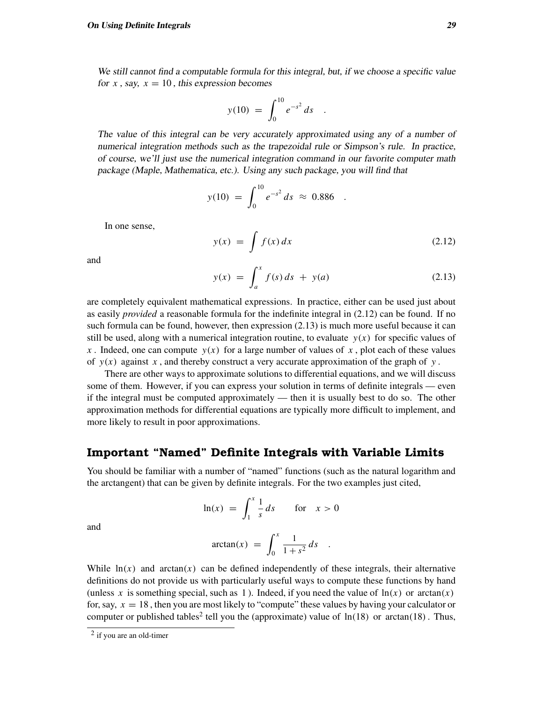We still cannot find <sup>a</sup> computable formula for this integral, but, if we choose <sup>a</sup> specific value for *x*, say,  $x = 10$ , this expression becomes

$$
y(10) = \int_0^{10} e^{-s^2} ds .
$$

The value of this integral can be very accurately approximated using any of <sup>a</sup> number of numerical integration methods such as the trapezoidal rule or Simpson's rule. In practice, of course, we'll just use the numerical integration command in our favorite computer math package (Maple, Mathematica, etc.). Using any such package, you will find that

$$
y(10) = \int_0^{10} e^{-s^2} ds \approx 0.886.
$$

In one sense,

$$
y(x) = \int f(x) dx
$$
 (2.12)

and

$$
y(x) = \int_{a}^{x} f(s) \, ds + y(a) \tag{2.13}
$$

are completely equivalent mathematical expressions. In practice, either can be used just about as easily *provided* a reasonable formula for the indefinite integral in (2.12) can be found. If no such formula can be found, however, then expression (2.13) is much more useful because it can still be used, along with a numerical integration routine, to evaluate  $y(x)$  for specific values of *x*. Indeed, one can compute  $y(x)$  for a large number of values of *x*, plot each of these values of  $y(x)$  against x, and thereby construct a very accurate approximation of the graph of y.

There are other ways to approximate solutions to differential equations, and we will discuss some of them. However, if you can express your solution in terms of definite integrals — even if the integral must be computed approximately — then it is usually best to do so. The other approximation methods for differential equations are typically more difficult to implement, and more likely to result in poor approximations.

#### **Important "Named" Definite Integrals with Variable Limits**

You should be familiar with a number of "named" functions (such as the natural logarithm and the arctangent) that can be given by definite integrals. For the two examples just cited,

$$
\ln(x) = \int_1^x \frac{1}{s} ds \quad \text{for} \quad x > 0
$$

and

$$
\arctan(x) = \int_0^x \frac{1}{1+s^2} ds
$$

While  $ln(x)$  and  $arctan(x)$  can be defined independently of these integrals, their alternative definitions do not provide us with particularly useful ways to compute these functions by hand (unless x is something special, such as 1). Indeed, if you need the value of  $\ln(x)$  or  $\arctan(x)$ for, say,  $x = 18$ , then you are most likely to "compute" these values by having your calculator or computer or published tables<sup>2</sup> tell you the (approximate) value of  $ln(18)$  or arctan(18). Thus,

<sup>&</sup>lt;sup>2</sup> if you are an old-timer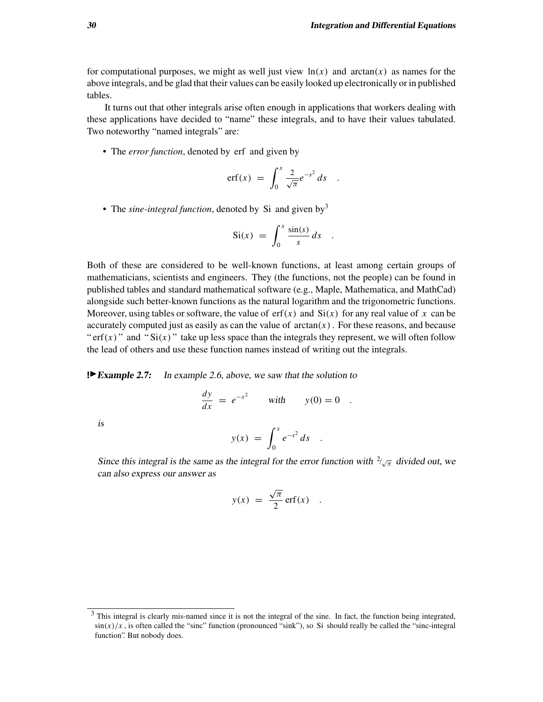for computational purposes, we might as well just view  $ln(x)$  and  $arctan(x)$  as names for the above integrals, and be glad that their values can be easily looked up electronically or in published tables.

It turns out that other integrals arise often enough in applications that workers dealing with these applications have decided to "name" these integrals, and to have their values tabulated. Two noteworthy "named integrals" are:

• The *error function*, denoted by erf and given by

$$
\mathrm{erf}(x) = \int_0^x \frac{2}{\sqrt{\pi}} e^{-s^2} ds.
$$

• The *sine-integral function*, denoted by Si and given by<sup>3</sup>

$$
\operatorname{Si}(x) = \int_0^x \frac{\sin(s)}{s} \, ds \quad .
$$

Both of these are considered to be well-known functions, at least among certain groups of mathematicians, scientists and engineers. They (the functions, not the people) can be found in published tables and standard mathematical software (e.g., Maple, Mathematica, and MathCad) alongside such better-known functions as the natural logarithm and the trigonometric functions. Moreover, using tables or software, the value of  $erf(x)$  and  $Si(x)$  for any real value of x can be accurately computed just as easily as can the value of  $arctan(x)$ . For these reasons, and because " erf $(x)$ " and " $Si(x)$ " take up less space than the integrals they represent, we will often follow the lead of others and use these function names instead of writing out the integrals.

**!** $\blacktriangleright$  **Example 2.7:** In example 2.6, above, we saw that the solution to

$$
\frac{dy}{dx} = e^{-x^2} \qquad \text{with} \qquad y(0) = 0 \quad .
$$

is

$$
y(x) = \int_0^x e^{-s^2} ds .
$$

Since this integral is the same as the integral for the error function with  $\frac{2}{\sqrt{\pi}}$  divided out, we can also express our answer as

$$
y(x) = \frac{\sqrt{\pi}}{2} \operatorname{erf}(x) .
$$

<sup>&</sup>lt;sup>3</sup> This integral is clearly mis-named since it is not the integral of the sine. In fact, the function being integrated,  $\sin(x)/x$ , is often called the "sinc" function (pronounced "sink"), so Si should really be called the "sinc-integral" function". But nobody does.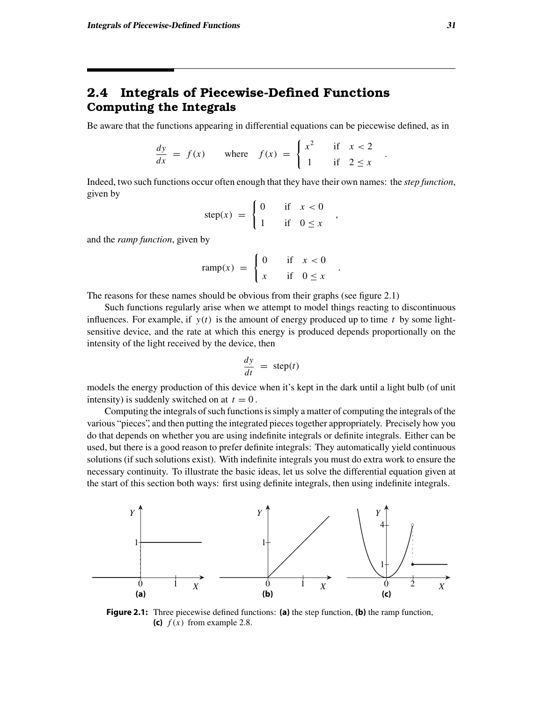## **2.4 Integrals of Piecewise-Defined Functions Computing the Integrals**

Be aware that the functions appearing in differential equations can be piecewise defined, as in

$$
\frac{dy}{dx} = f(x) \quad \text{where} \quad f(x) = \begin{cases} x^2 & \text{if } x < 2 \\ 1 & \text{if } 2 \le x \end{cases}
$$

Indeed, two such functions occur often enough that they have their own names: the *step function*, given by

$$
step(x) = \begin{cases} 0 & \text{if } x < 0 \\ 1 & \text{if } 0 \le x \end{cases}
$$

and the *ramp function*, given by

$$
\operatorname{ramp}(x) = \begin{cases} 0 & \text{if } x < 0 \\ x & \text{if } 0 \le x \end{cases}
$$

The reasons for these names should be obvious from their graphs (see figure 2.1)

Such functions regularly arise when we attempt to model things reacting to discontinuous influences. For example, if  $y(t)$  is the amount of energy produced up to time t by some lightsensitive device, and the rate at which this energy is produced depends proportionally on the intensity of the light received by the device, then

$$
\frac{dy}{dt} = \text{step}(t)
$$

models the energy production of this device when it's kept in the dark until a light bulb (of unit intensity) is suddenly switched on at  $t = 0$ .

Computing the integrals of such functions is simply a matter of computing the integrals of the various "pieces", and then putting the integrated pieces together appropriately. Precisely how you do that depends on whether you are using indefinite integrals or definite integrals. Either can be used, but there is a good reason to prefer definite integrals: They automatically yield continuous solutions (if such solutions exist). With indefinite integrals you must do extra work to ensure the necessary continuity. To illustrate the basic ideas, let us solve the differential equation given at the start of this section both ways: first using definite integrals, then using indefinite integrals.



**Figure 2.1:** Three piecewise defined functions: (a) the step function, (b) the ramp function, **(c)**  $f(x)$  from example 2.8.

.

,

.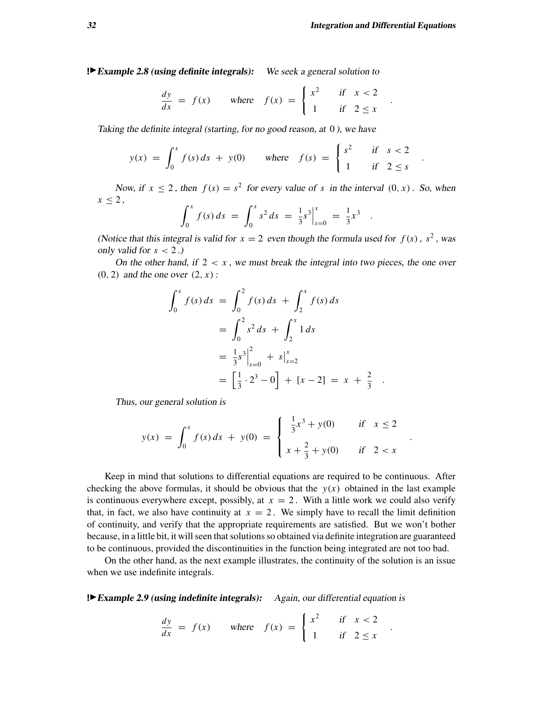.

.

**!** $\blacktriangleright$  **Example 2.8 (using definite integrals):** We seek a general solution to

$$
\frac{dy}{dx} = f(x) \qquad \text{where} \quad f(x) = \begin{cases} x^2 & \text{if } x < 2 \\ 1 & \text{if } 2 \le x \end{cases}
$$

Taking the definite integral (starting, for no good reason, at 0 ), we have

$$
y(x) = \int_0^x f(s) ds + y(0)
$$
 where  $f(s) = \begin{cases} s^2 & \text{if } s < 2 \\ 1 & \text{if } 2 \le s \end{cases}$ 

Now, if  $x \le 2$ , then  $f(s) = s^2$  for every value of *s* in the interval  $(0, x)$ . So, when  $x \leq 2$ ,

$$
\int_0^x f(s) \, ds = \int_0^x s^2 \, ds = \frac{1}{3} s^3 \Big|_{s=0}^x = \frac{1}{3} x^3
$$

(Notice that this integral is valid for  $x = 2$  even though the formula used for  $f(s)$ ,  $s^2$ , was only valid for  $s < 2$ .)

On the other hand, if  $2 < x$ , we must break the integral into two pieces, the one over  $(0, 2)$  and the one over  $(2, x)$ :

$$
\int_0^x f(s) ds = \int_0^2 f(s) ds + \int_2^x f(s) ds
$$
  
= 
$$
\int_0^2 s^2 ds + \int_2^x 1 ds
$$
  
= 
$$
\frac{1}{3} s^3 \Big|_{s=0}^2 + s \Big|_{s=2}^x
$$
  
= 
$$
\left[ \frac{1}{3} \cdot 2^3 - 0 \right] + [x - 2] = x + \frac{2}{3}
$$

Thus, our general solution is

$$
y(x) = \int_0^x f(s) \, ds + y(0) = \begin{cases} \frac{1}{3}x^3 + y(0) & \text{if } x \le 2\\ x + \frac{2}{3} + y(0) & \text{if } 2 < x \end{cases}
$$

Keep in mind that solutions to differential equations are required to be continuous. After checking the above formulas, it should be obvious that the  $y(x)$  obtained in the last example is continuous everywhere except, possibly, at  $x = 2$ . With a little work we could also verify that, in fact, we also have continuity at  $x = 2$ . We simply have to recall the limit definition of continuity, and verify that the appropriate requirements are satisfied. But we won't bother because, in a little bit, it will seen that solutions so obtained via definite integration are guaranteed to be continuous, provided the discontinuities in the function being integrated are not too bad.

On the other hand, as the next example illustrates, the continuity of the solution is an issue when we use indefinite integrals.

**!** $\blacktriangleright$  **Example 2.9 (using indefinite integrals):** Again, our differential equation is

$$
\frac{dy}{dx} = f(x) \qquad \text{where} \quad f(x) = \begin{cases} x^2 & \text{if } x < 2 \\ 1 & \text{if } 2 \le x \end{cases}
$$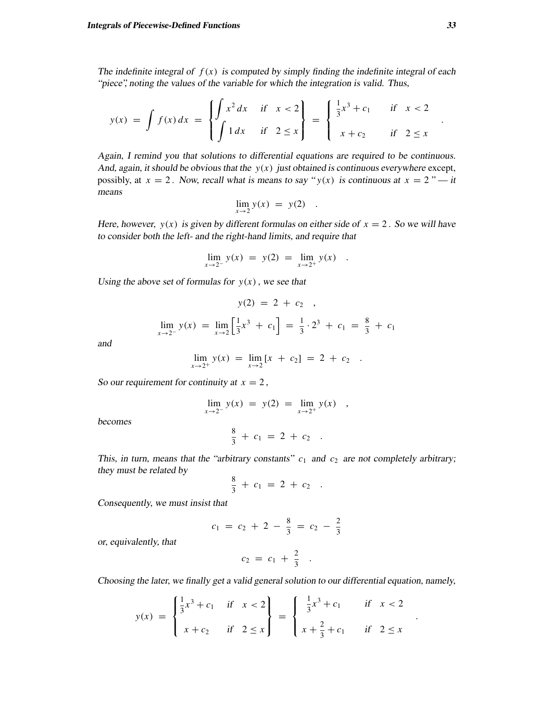The indefinite integral of  $f(x)$  is computed by simply finding the indefinite integral of each "piece", noting the values of the variable for which the integration is valid. Thus,

$$
y(x) = \int f(x) dx = \begin{cases} \int x^2 dx & \text{if } x < 2 \\ \int 1 dx & \text{if } 2 \le x \end{cases} = \begin{cases} \frac{1}{3}x^3 + c_1 & \text{if } x < 2 \\ x + c_2 & \text{if } 2 \le x \end{cases}
$$

Again, <sup>I</sup> remind you that solutions to differential equations are required to be continuous. And, again, it should be obvious that the  $y(x)$  just obtained is continuous everywhere except, possibly, at  $x = 2$ . Now, recall what is means to say " $y(x)$  is continuous at  $x = 2$ "—it means

$$
\lim_{x \to 2} y(x) = y(2) .
$$

Here, however,  $y(x)$  is given by different formulas on either side of  $x = 2$ . So we will have to consider both the left- and the right-hand limits, and require that

$$
\lim_{x \to 2^{-}} y(x) = y(2) = \lim_{x \to 2^{+}} y(x) .
$$

Using the above set of formulas for  $y(x)$ , we see that

$$
y(2) = 2 + c_2 ,
$$
  

$$
\lim_{x \to 2^{-}} y(x) = \lim_{x \to 2} \left[ \frac{1}{3} x^3 + c_1 \right] = \frac{1}{3} \cdot 2^3 + c_1 = \frac{8}{3} + c_1
$$

and

$$
\lim_{x \to 2^+} y(x) = \lim_{x \to 2} [x + c_2] = 2 + c_2.
$$

So our requirement for continuity at  $x = 2$ ,

$$
\lim_{x \to 2^{-}} y(x) = y(2) = \lim_{x \to 2^{+}} y(x) ,
$$

becomes

$$
\frac{8}{3} + c_1 = 2 + c_2 \quad .
$$

This, in turn, means that the "arbitrary constants"  $c_1$  and  $c_2$  are not completely arbitrary; they must be related by

$$
\frac{8}{3} + c_1 = 2 + c_2 \quad .
$$

Consequently, we must insist that

$$
c_1 = c_2 + 2 - \frac{8}{3} = c_2 - \frac{2}{3}
$$

or, equivalently, that

$$
c_2\,\,=\,\,c_1\,\,+\,\,\frac{2}{3}
$$

.

Choosing the later, we finally get <sup>a</sup> valid general solution to our differential equation, namely,

$$
y(x) = \begin{cases} \frac{1}{3}x^3 + c_1 & \text{if } x < 2\\ x + c_2 & \text{if } 2 \le x \end{cases} = \begin{cases} \frac{1}{3}x^3 + c_1 & \text{if } x < 2\\ x + \frac{2}{3} + c_1 & \text{if } 2 \le x \end{cases}
$$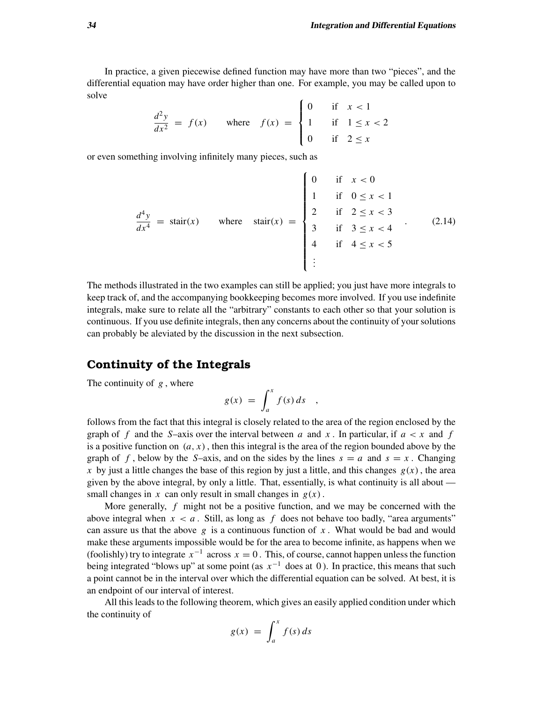In practice, a given piecewise defined function may have more than two "pieces", and the differential equation may have order higher than one. For example, you may be called upon to solve  $\epsilon$ 

$$
\frac{d^2y}{dx^2} = f(x) \quad \text{where} \quad f(x) = \begin{cases} 0 & \text{if} \quad x < 1 \\ 1 & \text{if} \quad 1 \le x < 2 \\ 0 & \text{if} \quad 2 \le x \end{cases}
$$

or even something involving infinitely many pieces, such as

$$
\frac{d^4y}{dx^4} = \text{stair}(x) \quad \text{where} \quad \text{stair}(x) = \begin{cases} 0 & \text{if } x < 0 \\ 1 & \text{if } 0 \le x < 1 \\ 2 & \text{if } 2 \le x < 3 \\ 3 & \text{if } 3 \le x < 4 \\ 4 & \text{if } 4 \le x < 5 \end{cases} \tag{2.14}
$$

The methods illustrated in the two examples can still be applied; you just have more integrals to keep track of, and the accompanying bookkeeping becomes more involved. If you use indefinite integrals, make sure to relate all the "arbitrary" constants to each other so that your solution is continuous. If you use definite integrals, then any concerns about the continuity of your solutions can probably be aleviated by the discussion in the next subsection.

## **Continuity of the Integrals**

The continuity of *g* , where

$$
g(x) = \int_a^x f(s) \, ds \quad ,
$$

follows from the fact that this integral is closely related to the area of the region enclosed by the graph of f and the *S*–axis over the interval between a and x. In particular, if  $a < x$  and f is a positive function on  $(a, x)$ , then this integral is the area of the region bounded above by the graph of f, below by the *S*–axis, and on the sides by the lines  $s = a$  and  $s = x$ . Changing *x* by just a little changes the base of this region by just a little, and this changes  $g(x)$ , the area given by the above integral, by only a little. That, essentially, is what continuity is all about small changes in *x* can only result in small changes in  $g(x)$ .

More generally, *f* might not be a positive function, and we may be concerned with the above integral when  $x < a$ . Still, as long as  $f$  does not behave too badly, "area arguments" can assure us that the above *g* is a continuous function of *x* . What would be bad and would make these arguments impossible would be for the area to become infinite, as happens when we (foolishly) try to integrate  $x^{-1}$  across  $x = 0$ . This, of course, cannot happen unless the function being integrated "blows up" at some point (as  $x^{-1}$  does at 0). In practice, this means that such a point cannot be in the interval over which the differential equation can be solved. At best, it is an endpoint of our interval of interest.

All this leads to the following theorem, which gives an easily applied condition under which the continuity of

$$
g(x) = \int_a^x f(s) \, ds
$$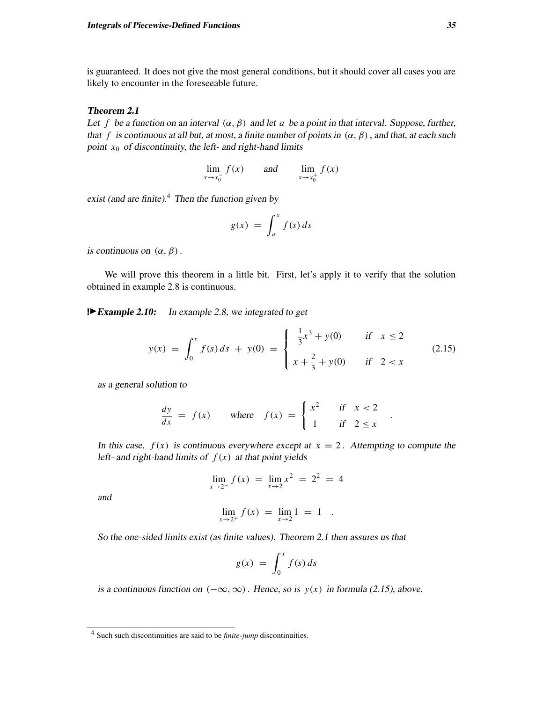is guaranteed. It does not give the most general conditions, but it should cover all cases you are likely to encounter in the foreseeable future.

#### Theorem 2.1

Let f be a function on an interval  $(\alpha, \beta)$  and let a be a point in that interval. Suppose, further, that *f* is continuous at all but, at most, a finite number of points in  $(\alpha, \beta)$ , and that, at each such point  $x_0$  of discontinuity, the left- and right-hand limits

$$
\lim_{x \to x_0^-} f(x) \qquad \text{and} \qquad \lim_{x \to x_0^+} f(x)
$$

exist (and are finite). $4$  Then the function given by

$$
g(x) = \int_a^x f(s) \, ds
$$

is continuous on  $(\alpha, \beta)$ .

We will prove this theorem in a little bit. First, let's apply it to verify that the solution obtained in example 2.8 is continuous.

**!** $\blacktriangleright$  **Example 2.10:** In example 2.8, we integrated to get

$$
y(x) = \int_0^x f(s) ds + y(0) = \begin{cases} \frac{1}{3}x^3 + y(0) & \text{if } x \le 2\\ x + \frac{2}{3} + y(0) & \text{if } 2 < x \end{cases}
$$
(2.15)

as <sup>a</sup> general solution to

$$
\frac{dy}{dx} = f(x) \qquad \text{where} \quad f(x) = \begin{cases} x^2 & \text{if } x < 2 \\ 1 & \text{if } 2 \le x \end{cases}
$$

In this case,  $f(x)$  is continuous everywhere except at  $x = 2$ . Attempting to compute the left- and right-hand limits of  $f(x)$  at that point yields

$$
\lim_{x \to 2^{-}} f(x) = \lim_{x \to 2} x^{2} = 2^{2} = 4
$$

and

$$
\lim_{x \to 2^+} f(x) = \lim_{x \to 2} 1 = 1 .
$$

So the one-sided limits exist (as finite values). Theorem 2.1 then assures us that

$$
g(x) = \int_0^x f(s) \, ds
$$

is a continuous function on  $(-\infty, \infty)$ . Hence, so is *y*(*x*) in formula (2.15), above.

<sup>4</sup> Such such discontinuities are said to be *finite-jump* discontinuities.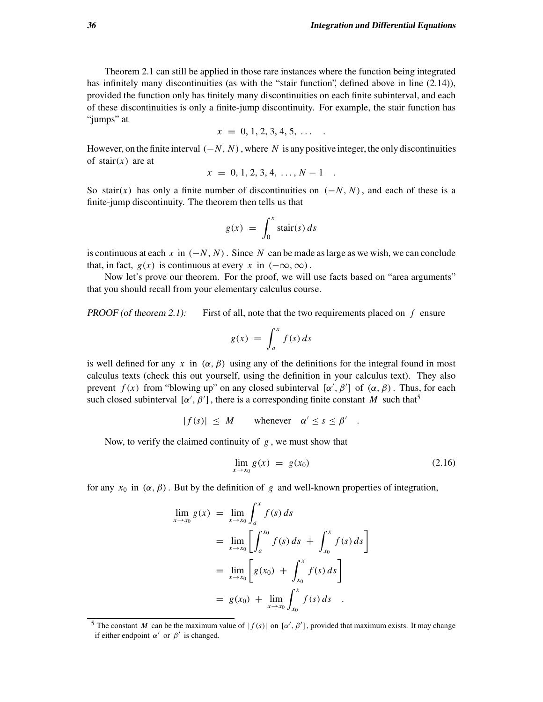Theorem 2.1 can still be applied in those rare instances where the function being integrated has infinitely many discontinuities (as with the "stair function", defined above in line (2.14)), provided the function only has finitely many discontinuities on each finite subinterval, and each of these discontinuities is only a finite-jump discontinuity. For example, the stair function has "jumps" at

$$
x = 0, 1, 2, 3, 4, 5, \ldots
$$

However, on the finite interval (−*N*, *N*), where *N* is any positive integer, the only discontinuities of stair $(x)$  are at

$$
x = 0, 1, 2, 3, 4, \ldots, N - 1
$$

So stair(*x*) has only a finite number of discontinuities on  $(-N, N)$ , and each of these is a finite-jump discontinuity. The theorem then tells us that

$$
g(x) = \int_0^x \operatorname{stair}(s) \, ds
$$

is continuous at each *x* in (−*N*, *N*). Since *N* can be made as large as we wish, we can conclude that, in fact,  $g(x)$  is continuous at every *x* in  $(-\infty, \infty)$ .

Now let's prove our theorem. For the proof, we will use facts based on "area arguments" that you should recall from your elementary calculus course.

PROOF (of theorem 2.1): First of all, note that the two requirements placed on *f* ensure

$$
g(x) = \int_a^x f(s) \, ds
$$

is well defined for any x in  $(\alpha, \beta)$  using any of the definitions for the integral found in most calculus texts (check this out yourself, using the definition in your calculus text). They also prevent  $f(x)$  from "blowing up" on any closed subinterval  $[\alpha', \beta']$  of  $(\alpha, \beta)$ . Thus, for each such closed subinterval  $[\alpha', \beta']$ , there is a corresponding finite constant *M* such that<sup>5</sup>

$$
|f(s)| \leq M \qquad \text{whenever} \quad \alpha' \leq s \leq \beta'
$$

Now, to verify the claimed continuity of *g* , we must show that

$$
\lim_{x \to x_0} g(x) = g(x_0) \tag{2.16}
$$

.

for any  $x_0$  in  $(\alpha, \beta)$ . But by the definition of g and well-known properties of integration,

$$
\lim_{x \to x_0} g(x) = \lim_{x \to x_0} \int_a^x f(s) ds
$$
  
\n
$$
= \lim_{x \to x_0} \left[ \int_a^{x_0} f(s) ds + \int_{x_0}^x f(s) ds \right]
$$
  
\n
$$
= \lim_{x \to x_0} \left[ g(x_0) + \int_{x_0}^x f(s) ds \right]
$$
  
\n
$$
= g(x_0) + \lim_{x \to x_0} \int_{x_0}^x f(s) ds .
$$

<sup>&</sup>lt;sup>5</sup> The constant *M* can be the maximum value of  $|f(s)|$  on  $[\alpha', \beta']$ , provided that maximum exists. It may change if either endpoint  $\alpha'$  or  $\beta'$  is changed.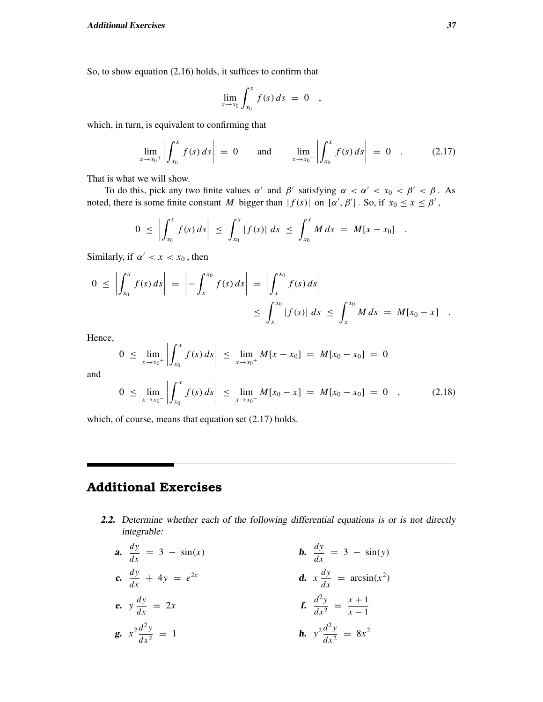So, to show equation (2.16) holds, it suffices to confirm that

$$
\lim_{x\to x_0}\int_{x_0}^x f(s)\,ds\;=\;0\quad,
$$

which, in turn, is equivalent to confirming that

$$
\lim_{x \to x_0^+} \left| \int_{x_0}^x f(s) \, ds \right| \, = \, 0 \qquad \text{and} \qquad \lim_{x \to x_0^-} \left| \int_{x_0}^x f(s) \, ds \right| \, = \, 0 \quad . \tag{2.17}
$$

That is what we will show.

To do this, pick any two finite values  $\alpha'$  and  $\beta'$  satisfying  $\alpha < \alpha' < x_0 < \beta' < \beta$ . As noted, there is some finite constant *M* bigger than  $|f(s)|$  on  $[\alpha', \beta']$ . So, if  $x_0 \le x \le \beta'$ ,

$$
0 \leq \left| \int_{x_0}^x f(s) \, ds \right| \, \leq \, \int_{x_0}^x |f(s)| \, ds \, \leq \, \int_{x_0}^x M \, ds \, = \, M[x - x_0] \quad .
$$

Similarly, if  $\alpha' < x < x_0$ , then

$$
0 \leq \left| \int_{x_0}^x f(s) \, ds \right| = \left| - \int_x^{x_0} f(s) \, ds \right| = \left| \int_x^{x_0} f(s) \, ds \right| \\
\leq \int_x^{x_0} |f(s)| \, ds \leq \int_x^{x_0} M \, ds = M[x_0 - x] .
$$

Hence,

and

$$
0 \leq \lim_{x \to x_0^+} \left| \int_{x_0}^x f(s) \, ds \right| \leq \lim_{x \to x_0^+} M[x - x_0] = M[x_0 - x_0] = 0
$$
\n
$$
0 \leq \lim_{x \to x_0^-} \left| \int_{x_0}^x f(s) \, ds \right| \leq \lim_{x \to x_0^-} M[x_0 - x] = M[x_0 - x_0] = 0 \quad , \tag{2.18}
$$

which, of course, means that equation set (2.17) holds.

# **Additional Exercises**

2.2. Determine whether each of the following differential equations is or is not directly integrable:

**a.** 
$$
\frac{dy}{dx} = 3 - \sin(x)
$$
  
\n**b.**  $\frac{dy}{dx} = 3 - \sin(y)$   
\n**c.**  $\frac{dy}{dx} + 4y = e^{2x}$   
\n**d.**  $x \frac{dy}{dx} = \arcsin(x^2)$   
\n**e.**  $y \frac{dy}{dx} = 2x$   
\n**f.**  $\frac{d^2y}{dx^2} = \frac{x+1}{x-1}$   
\n**g.**  $x^2 \frac{d^2y}{dx^2} = 1$   
\n**h.**  $y^2 \frac{d^2y}{dx^2} = 8x^2$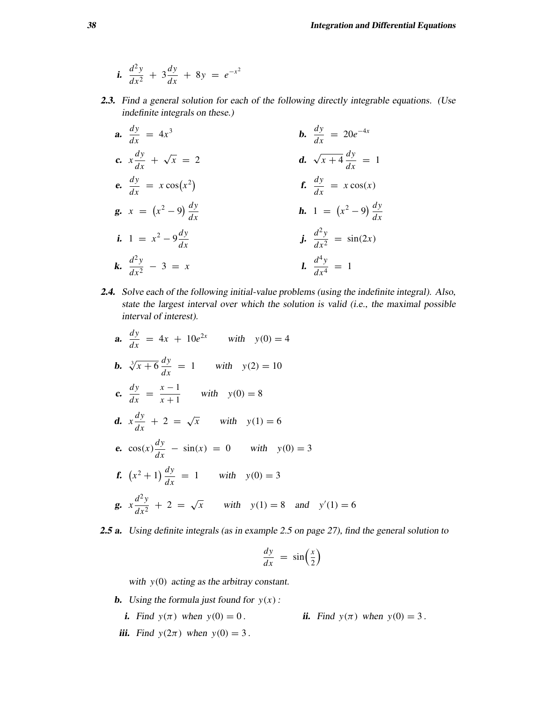i. 
$$
\frac{d^2y}{dx^2} + 3\frac{dy}{dx} + 8y = e^{-x^2}
$$

- 2.3. Find a general solution for each of the following directly integrable equations. (Use indefinite integrals on these.)
	- a. *dy*  $\frac{dy}{dx} = 4x$  $\mathbf{b}$ . *dy*  $\frac{dy}{dx} = 20e^{-4x}$ c.  $x \frac{dy}{dx}$  $\frac{1}{dx}$  $\sqrt{x} = 2$  d.  $\sqrt{x+4} \frac{dy}{dx}$  $\frac{dy}{dx} = 1$ e. *dy*  $\frac{dy}{dx} = x \cos(x^2)$ f. *dy*  $\frac{dy}{dx} = x \cos(x)$ g.  $x = (x^2 - 9) \frac{dy}{dx}$ **h.** 1 =  $(x^2 - 9) \frac{dy}{dx}$ *i.* 1 =  $x^2 - 9 \frac{dy}{dx}$ *dx*  $\int$ *i*.  $\frac{d^2y}{dx^2}$  $\frac{d^2y}{dx^2} = \sin(2x)$  $k. \frac{d^2y}{dx^2}$  $\frac{d^2y}{dx^2} - 3 = x$  **l.**  $d^4y$  $\frac{d^2y}{dx^4} = 1$
- 2.4. Solve each of the following initial-value problems (using the indefinite integral). Also, state the largest interval over which the solution is valid (i.e., the maximal possible interval of interest).
	- a. *dy*  $\frac{dy}{dx} = 4x + 10e^{2x}$  with  $y(0) = 4$ **b.**  $\sqrt[3]{x+6} \frac{dy}{dx}$  $\frac{dy}{dx} = 1$  with  $y(2) = 10$ c. *dy*  $rac{dy}{dx} = \frac{x-1}{x+1}$  $\frac{x}{x+1}$  with  $y(0) = 8$ d.  $x \frac{dy}{dx}$  $\frac{dy}{dx} + 2 = \sqrt{x}$  with  $y(1) = 6$ **e.**  $\cos(x) \frac{dy}{dx}$  $\frac{dy}{dx}$  – sin(*x*) = 0 with *y*(0) = 3 **f.**  $(x^2 + 1) \frac{dy}{dx} = 1$  with  $y(0) = 3$ **g.**  $x \frac{d^2y}{dx^2}$  $\frac{d^2y}{dx^2} + 2 = \sqrt{x}$  with  $y(1) = 8$  and  $y'(1) = 6$

2.5 a. Using definite integrals (as in example 2.5 on page 27), find the general solution to

$$
\frac{dy}{dx} = \sin\left(\frac{x}{2}\right)
$$

with  $y(0)$  acting as the arbitray constant.

- **b.** Using the formula just found for  $y(x)$ :
	- i. Find  $y(\pi)$  when  $y(0) = 0$ . ii. Find  $y(\pi)$  when  $y(0) = 3$ .
- iii. Find  $y(2\pi)$  when  $y(0) = 3$ .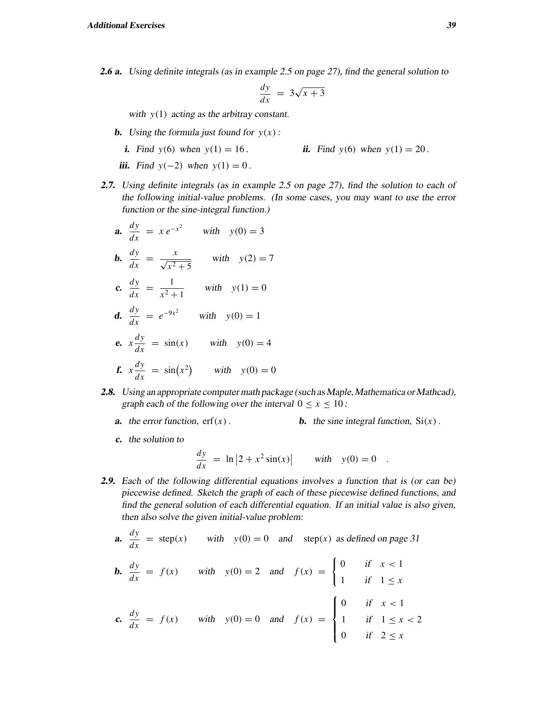2.6 a. Using definite integrals (as in example 2.5 on page 27), find the general solution to

$$
\frac{dy}{dx} = 3\sqrt{x+3}
$$

with *y*(1) acting as the arbitray constant.

- **b.** Using the formula just found for  $y(x)$ :
	- **i.** Find  $y(6)$  when  $y(1) = 16$ . **ii.** Find  $y(6)$  when  $y(1) = 20$ .
- iii. Find  $y(-2)$  when  $y(1) = 0$ .
- 2.7. Using definite integrals (as in example 2.5 on page 27), find the solution to each of the following initial-value problems. (In some cases, you may want to use the error function or the sine-integral function.)

**a.** 
$$
\frac{dy}{dx} = x e^{-x^2} \quad \text{with} \quad y(0) = 3
$$
\n**b.** 
$$
\frac{dy}{dx} = \frac{x}{\sqrt{x^2 + 5}} \quad \text{with} \quad y(2) = 7
$$
\n**c.** 
$$
\frac{dy}{dx} = \frac{1}{x^2 + 1} \quad \text{with} \quad y(1) = 0
$$
\n**d.** 
$$
\frac{dy}{dx} = e^{-9x^2} \quad \text{with} \quad y(0) = 1
$$
\n**e.** 
$$
x \frac{dy}{dx} = \sin(x) \quad \text{with} \quad y(0) = 4
$$
\n**f.** 
$$
x \frac{dy}{dx} = \sin(x^2) \quad \text{with} \quad y(0) = 0
$$

- 2.8. Using an appropriate computer math package (such as Maple, Mathematica or Mathcad), graph each of the following over the interval  $0 \le x \le 10$ :
	- **a.** the error function,  $erf(x)$ . **b.** the sine integral function,  $Si(x)$ .
	- c. the solution to

$$
\frac{dy}{dx} = \ln|2 + x^2 \sin(x)| \quad \text{with} \quad y(0) = 0 \quad .
$$

2.9. Each of the following differential equations involves a function that is (or can be) piecewise defined. Sketch the graph of each of these piecewise defined functions, and find the general solution of each differential equation. If an initial value is also given, then also solve the given initial-value problem:

**a.** 
$$
\frac{dy}{dx} = \text{step}(x)
$$
 with  $y(0) = 0$  and  $\text{step}(x)$  as defined on page 31  
\n**b.**  $\frac{dy}{dx} = f(x)$  with  $y(0) = 2$  and  $f(x) =\begin{cases} 0 & \text{if } x < 1 \\ 1 & \text{if } 1 \le x \end{cases}$   
\n**c.**  $\frac{dy}{dx} = f(x)$  with  $y(0) = 0$  and  $f(x) =\begin{cases} 0 & \text{if } x < 1 \\ 1 & \text{if } 1 \le x < 2 \\ 0 & \text{if } 2 \le x \end{cases}$